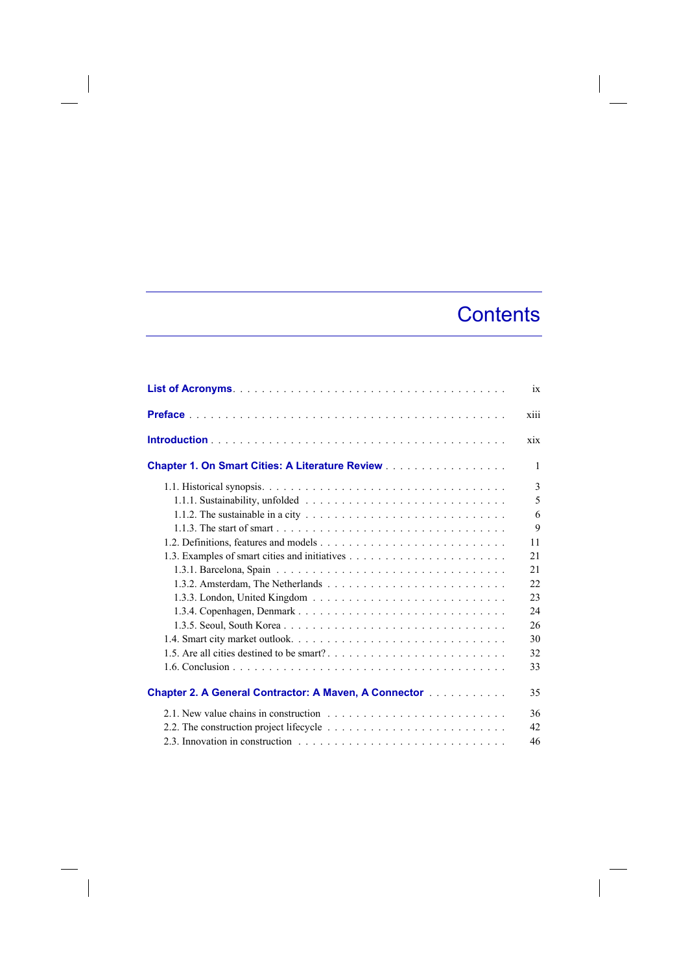## **Contents**

 $\overline{\phantom{a}}$ 

|                                                                                                            | ix   |
|------------------------------------------------------------------------------------------------------------|------|
|                                                                                                            | xiii |
|                                                                                                            | xix  |
| <b>Chapter 1. On Smart Cities: A Literature Review</b>                                                     | 1    |
|                                                                                                            | 3    |
|                                                                                                            | 5    |
| 1.1.2. The sustainable in a city $\dots \dots \dots \dots \dots \dots \dots \dots \dots \dots \dots \dots$ | 6    |
|                                                                                                            | 9    |
|                                                                                                            | 11   |
|                                                                                                            | 21   |
|                                                                                                            | 21   |
|                                                                                                            | 22   |
|                                                                                                            | 23   |
|                                                                                                            | 24   |
|                                                                                                            | 26   |
|                                                                                                            | 30   |
|                                                                                                            | 32   |
|                                                                                                            | 33   |
| <b>Chapter 2. A General Contractor: A Maven, A Connector [1] Allen Lines A General Contract D</b>          | 35   |
|                                                                                                            | 36   |
|                                                                                                            | 42   |
|                                                                                                            | 46   |

 $\begin{array}{c} \hline \end{array}$ 

 $\overline{\phantom{a}}$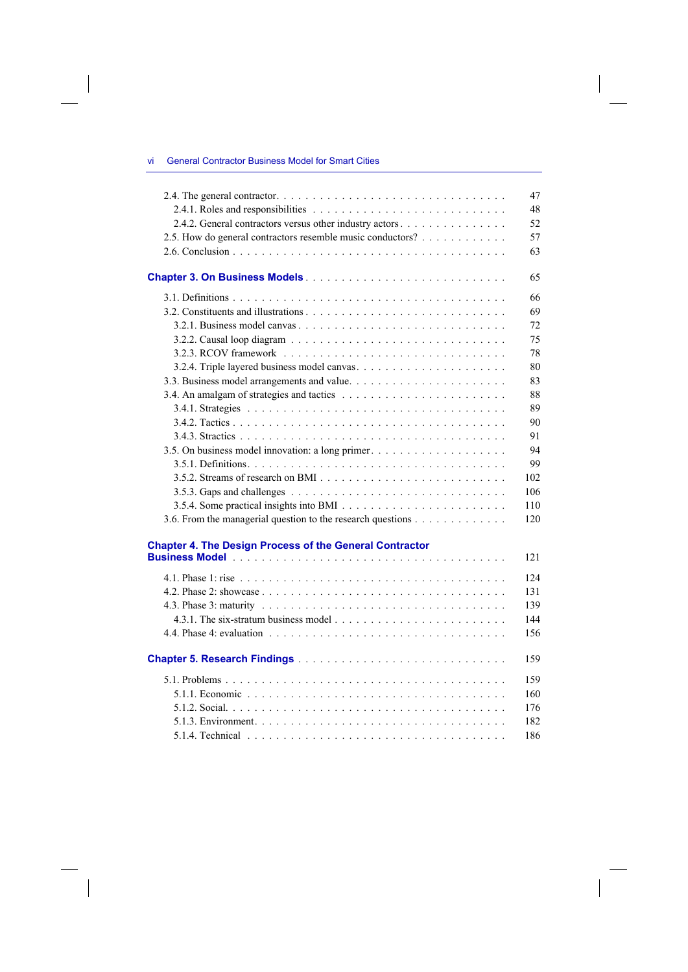## vi General Contractor Business Model for Smart Cities

 $\overline{\phantom{a}}$ 

 $\begin{array}{c} \hline \end{array}$ 

|                                                                | 47  |
|----------------------------------------------------------------|-----|
|                                                                | 48  |
| 2.4.2. General contractors versus other industry actors        | 52  |
| 2.5. How do general contractors resemble music conductors?     | 57  |
|                                                                | 63  |
|                                                                | 65  |
|                                                                | 66  |
|                                                                | 69  |
|                                                                | 72  |
|                                                                | 75  |
|                                                                | 78  |
|                                                                | 80  |
|                                                                | 83  |
|                                                                | 88  |
|                                                                | 89  |
|                                                                | 90  |
|                                                                | 91  |
|                                                                | 94  |
|                                                                | 99  |
|                                                                | 102 |
|                                                                | 106 |
|                                                                | 110 |
| 3.6. From the managerial question to the research questions    | 120 |
|                                                                |     |
| <b>Chapter 4. The Design Process of the General Contractor</b> |     |
|                                                                | 121 |
|                                                                | 124 |
|                                                                | 131 |
|                                                                | 139 |
|                                                                | 144 |
|                                                                | 156 |
|                                                                | 159 |
|                                                                | 159 |
|                                                                | 160 |
|                                                                | 176 |
|                                                                | 182 |
|                                                                | 186 |
|                                                                |     |

 $\overline{\phantom{a}}$